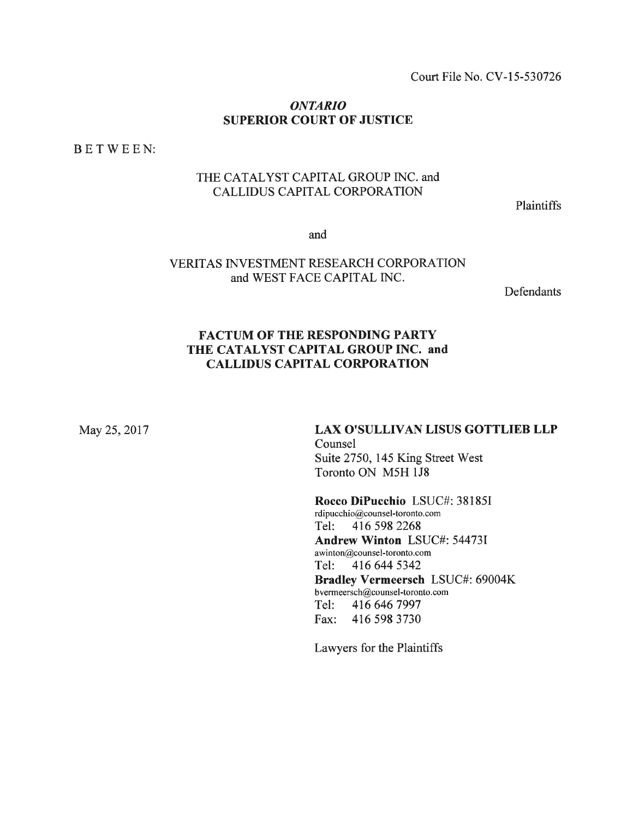Court File No. CV-15-530726

#### ONTARIO SUPERIOR COURT OF JUSTICE

BETWEEN:

## THE CATALYST CAPITAL GROUP INC. and CALLIDUS CAPITAL CORPORATION

**Plaintiffs** 

and

### VERITAS INVESTMENT RESEARCH CORPORATION and WEST FACE CAPITAL INC.

**Defendants** 

## FACTUM OF THE RESPONDING PARTY THE CATALYST CAPITAL GROUP INC. and CALLIDUS CAPITAL CORPORATION

May 25, 2017

# LAX O'SULLIVAN LISUS GOTTLIEB LLP Counsel Suite 2750, 145 King Street West Toronto ON M5H 1J8

Rocco DiPucchio LSUC#: 38185I rdipucchio@counsel-toronto. com Tel: 416 <sup>5982268</sup> Andrew Winton LSUC#: 54473I awinton@counsel-toronto. com Tel: 416 644 5342 Bradley Vermeersch LSUC#: 69004K bvermeersch@counsel-toronto. com Tel: <sup>4166467997</sup> Fax: 416 <sup>5983730</sup>

Lawyers for the Plaintiffs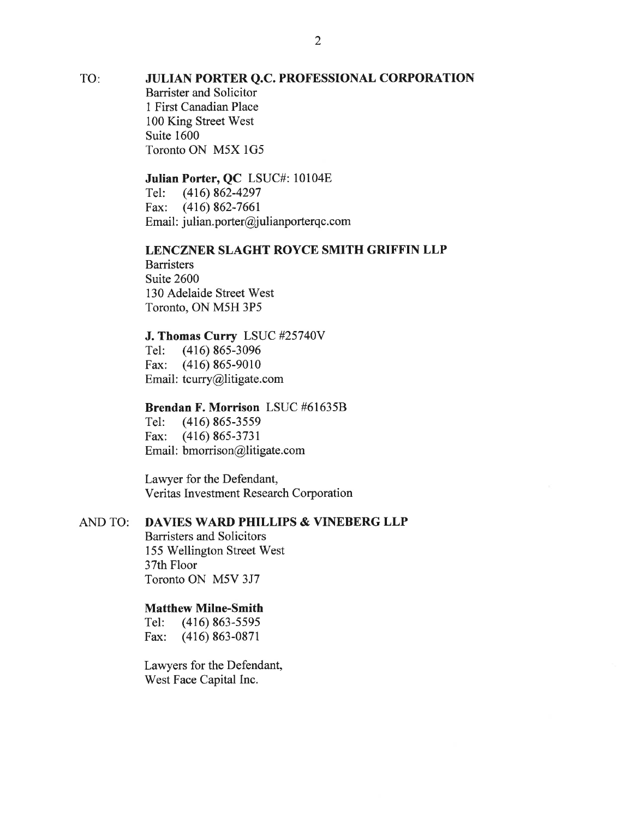TO

#### JULTAN PORTER Q.C. PROFESSIONAL CORPORATION

Barrister and Solicitor I First Canadian Place 100 King Street West Suite 1600 Toronto ON M5X lG5

# **Julian Porter, QC** LSUC#: 10104E<br>Tel: (416) 862-4297

Tel: (416) 862-4297 Fax: (416) 862-7661 Email: julian.porter@julianporterqc.com

#### LENCZNER SLAGHT ROYCE SMITH GRIFFIN LLP

**Barristers** Suite 2600 130 Adelaide Street West Toronto, ON M5H 3P5

#### J. Thomas Curry LSUC #25740V

Tel: (416) 865-3096 Fax: (416) 865-9010 Email: tcurry@litigate.com

#### Brendan F. Morrison LSUC #616358

Tel: (416) 865-3559 Fax: (416) 865-3731 Email: bmorrison@litigate.com

Lawyer for the Defendant, Veritas Investment Research Corporation

#### AND TO: DAVIES WARD PHILLPS & VINEBERG LLP

Barristers and Solicitors 155 Wellington Street West 37th Floor Toronto ON M5V 3J7

#### Matthew Milne-Smith

Tel: (416) 863-5595 Fax: (416) 863-0871

Lawyers for the Defendant, West Face Capital Inc.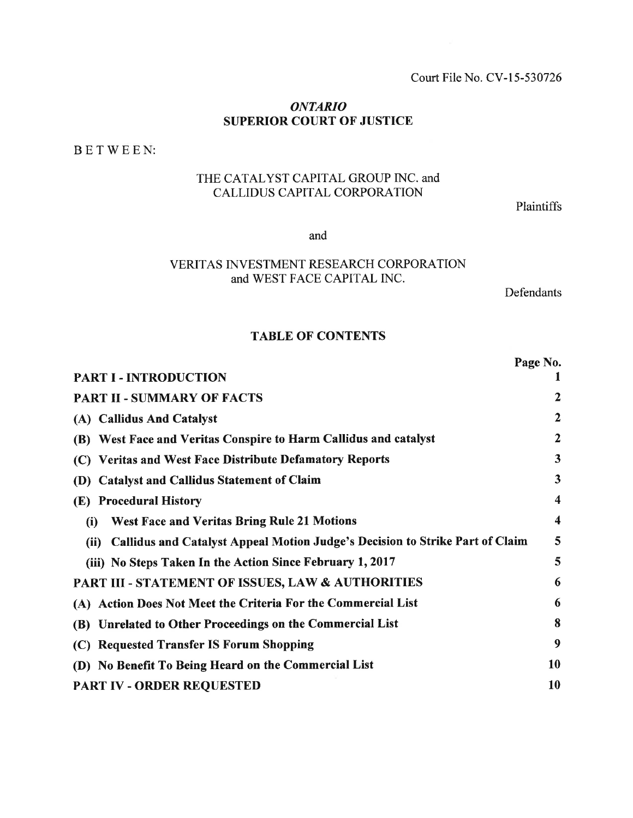#### Court File No. CV-15-530726

#### ONTARIO SUPERIOR COURT OF JUSTICE

BETWEEN:

# THE CATALYST CAPITAL GROUP INC. and CALLIDUS CAPITAL CORPORATION

Plaintiffs

and

# VERITAS INVESTMENT RESEARCH CORPORATION and WEST FACE CAPITAL INC.

Defendants

#### TABLE OF CONTENTS

|                                                                                      | Page No.                |
|--------------------------------------------------------------------------------------|-------------------------|
| <b>PART I - INTRODUCTION</b>                                                         |                         |
| <b>PART II - SUMMARY OF FACTS</b>                                                    | 2                       |
| (A) Callidus And Catalyst                                                            | $\mathbf{2}$            |
| West Face and Veritas Conspire to Harm Callidus and catalyst<br><b>(B)</b>           | $\mathbf{2}$            |
| (C) Veritas and West Face Distribute Defamatory Reports                              | $\overline{\mathbf{3}}$ |
| <b>Catalyst and Callidus Statement of Claim</b><br>(D)                               | $\overline{\mathbf{3}}$ |
| <b>Procedural History</b><br><b>(E)</b>                                              | 4                       |
| <b>West Face and Veritas Bring Rule 21 Motions</b><br>(i)                            | $\boldsymbol{4}$        |
| Callidus and Catalyst Appeal Motion Judge's Decision to Strike Part of Claim<br>(ii) | 5                       |
| (iii) No Steps Taken In the Action Since February 1, 2017                            | 5                       |
| PART III - STATEMENT OF ISSUES, LAW & AUTHORITIES                                    | 6                       |
| (A) Action Does Not Meet the Criteria For the Commercial List                        | 6                       |
| Unrelated to Other Proceedings on the Commercial List<br><b>(B)</b>                  | 8                       |
| <b>Requested Transfer IS Forum Shopping</b><br>(C)                                   | 9                       |
| (D) No Benefit To Being Heard on the Commercial List                                 | 10                      |
| PART IV - ORDER REQUESTED                                                            | <b>10</b>               |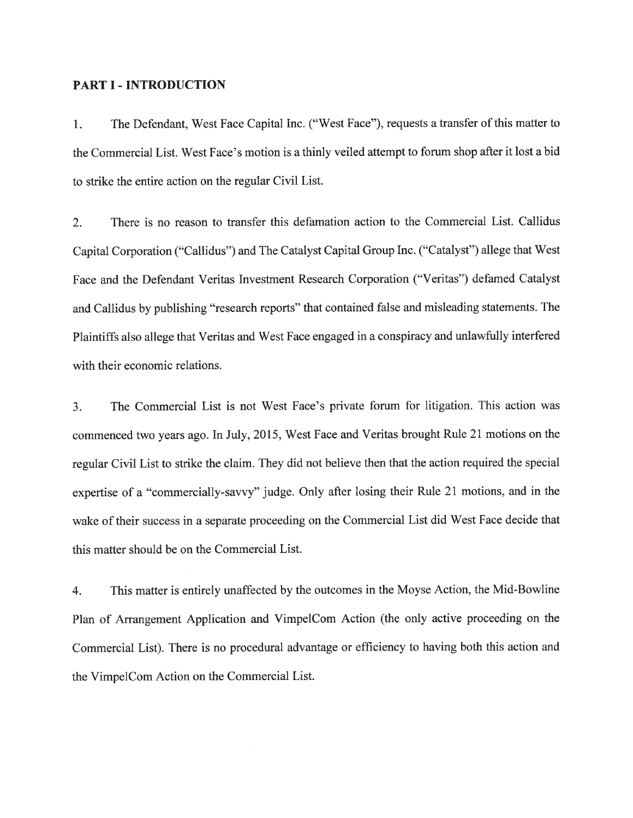#### PART I - INTRODUCTION

1. The Defendant, 'West Face Capital Inc. ("West Face"), requests a transfer of this matter to the Commercial List. 'West Face's motion is a thinly veiled attempt to forum shop after it lost a bid to strike the entire action on the regular Civil List.

2. There is no reason to transfer this defamation action to the Commercial List. Callidus Capital Corporation ("Callidus") and The Catalyst Capital Group Inc. ("Catalyst") allege that West Face and the Defendant Veritas Investment Research Corporation ("Veritas") defamed Catalyst and Callidus by publishing "research reports" that contained false and misleading statements. The Plaintiffs also allege that Veritas and West Face engaged in a conspiracy and unlawfully interfered with their economic relations.

3. The Commercial List is not West Face's private forum for litigation. This action was commenced two years ago. In July, 2015, West Face and Veritas brought Rule 21 motions on the regular Civil List to strike the claim. They did not believe then that the action required the special expertise of a "commercially-savvy" judge. Only after losing their Rule 21 motions, and in the wake of their success in a separate proceeding on the Commercial List did West Face decide that this matter should be on the Commercial List.

4. This matter is entirely unaffected by the outcomes in the Moyse Action, the Mid-Bowline Plan of Arrangement Application and VimpelCom Action (the only active proceeding on the Commercial List). There is no procedural advantage or efficiency to having both this action and the VimpelCom Action on the Commercial List.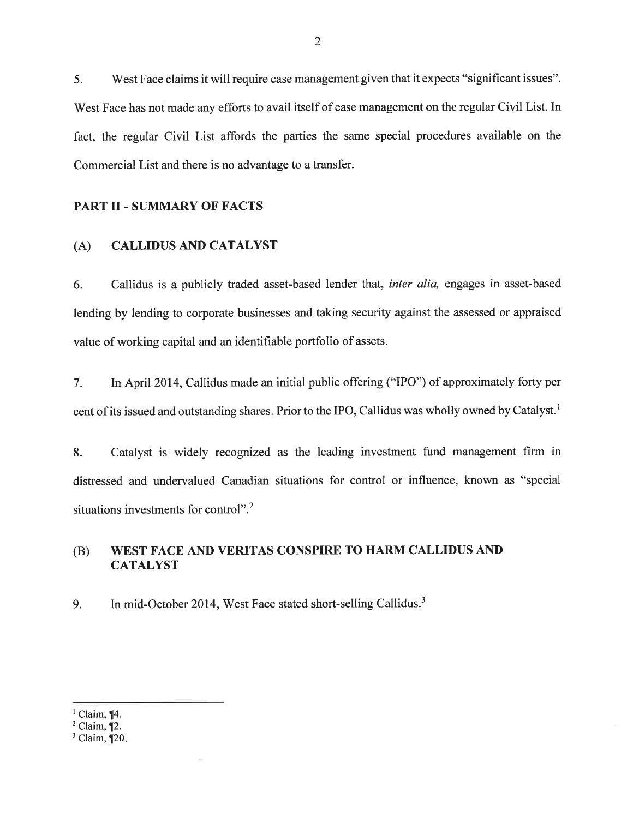5. West Face claims it will require case management given that it expects "significant issues". West Face has not made any efforts to avail itself of case management on the regular Civil List. In fact, the regular Civil List affords the parties the same special procedures available on the Commercial List and there is no advantage to a transfer.

#### PART II - SUMMARY OF FACTS

#### (A) CALLIDUS AND CATALYST

6. Callidus is a publicly traded asset-based lender that, inter alia, engages in asset-based lending by lending to corporate businesses and taking security against the assessed or appraised value of working capital and an identifiable portfolio of assets.

7. In April 2014, Callidus made an initial public offering ("IPO") of approximately forty per cent of its issued and outstanding shares. Prior to the IPO, Callidus was wholly owned by Catalyst.<sup>1</sup>

8. Catalyst is widely recognized as the leading investment fund management firm in distressed and undervalued Canadian situations for control or influence, known as "special situations investments for control".<sup>2</sup>

#### WEST FACE AND VERITAS CONSPIRE TO HARM CALLIDUS AND **CATALYST** (B)

g. In mid-October 2014, West Face stated short-selling Callidus.3

 $<sup>1</sup>$  Claim, ¶4.</sup>

 $2$  Claim,  $\P$ 2.

 $3$  Claim,  $\P$ 20.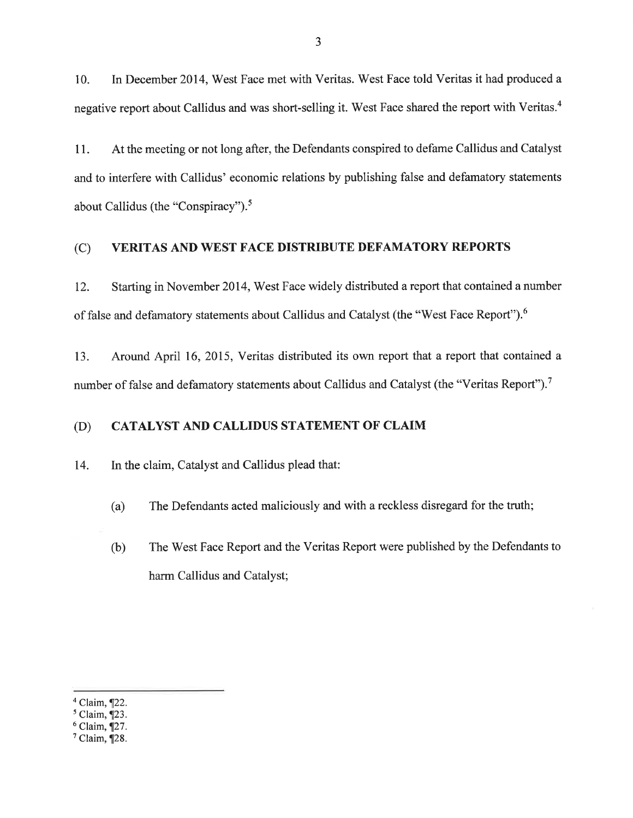10. In December 2014, West Face met with Veritas. West Face told Veritas it had produced a negative report about Callidus and was short-selling it. West Face shared the report with Veritas.<sup>4</sup>

11. At the meeting or not long after, the Defendants conspired to defame Callidus and Catalyst and to interfere with Callidus' economic relations by publishing false and defamatory statements about Callidus (the "Conspiracy"). $5$ 

### (C) VERITAS AND WEST FACE DISTRIBUTE DEFAMATORY REPORTS

12. Starting in November 2014, West Face widely distributed a report that contained a number of false and defamatory statements about Callidus and Catalyst (the "West Face Report").<sup>6</sup>

13. Around April 16, 2015, Veritas distributed its own report that a report that contained <sup>a</sup> number of false and defamatory statements about Callidus and Catalyst (the "Veritas Report").7

#### (D) CATALYST AND CALLIDUS STATEMENT OF CLAIM

14. In the claim, Catalyst and Callidus plead that:

- (a) The Defendants acted maliciously and with a reckless disregard for the truth;
- (b) The West Face Report and the Veritas Report were published by the Defendants to harm Callidus and Catalyst;

 $4$  Claim,  $\P$ 22.

 $<sup>5</sup>$  Claim,  $\overline{123}$ .</sup>

 $6$  Claim,  $\P$ 27.

 $<sup>7</sup>$  Claim,  $\P$ 28.</sup>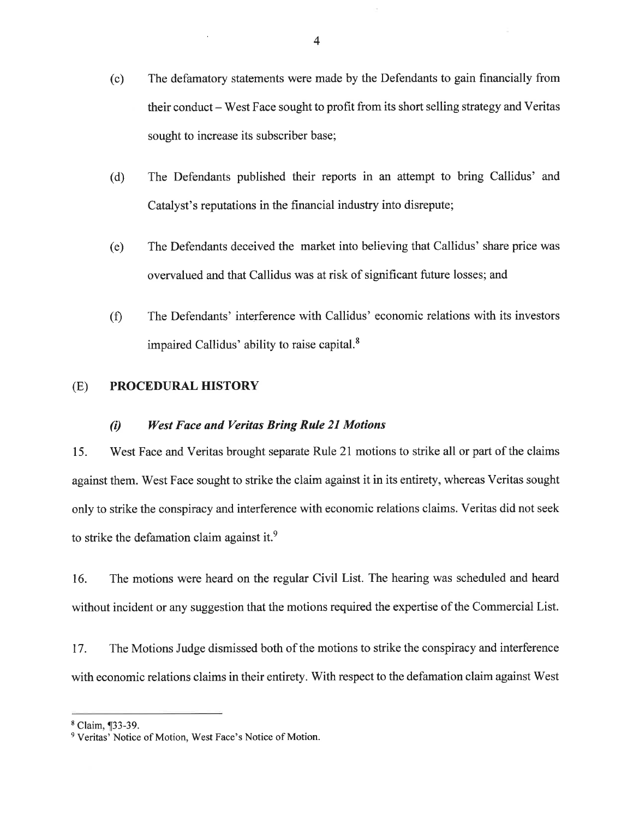- (c) The defamatory statements were made by the Defendants to gain financially from their conduct – West Face sought to profit from its short selling strategy and Veritas sought to increase its subscriber base;
- (d) The Defendants published their reports in an attempt to bring Callidus' and Catalyst's reputations in the financial industry into disrepute;
- (e) The Defendants deceived the market into believing that Callidus' share price was overvalued and that Callidus was at risk of significant future losses; and
- (Ð The Defendants' interference with Callidus' economic relations with its investors impaired Callidus' ability to raise capital.<sup>8</sup>

### (E) PROCEDURAL HISTORY

#### (t) West Face and Veritas Brìng Rule 2l Motíons

15. West Face and Veritas brought separate Rule 21 motions to strike all or part of the claims against them. West Face sought to strike the claim against it in its entirety, whereas Veritas sought only to strike the conspiracy and interference with economic relations claims. Veritas did not seek to strike the defamation claim against it.<sup>9</sup>

16. The motions were heard on the regular Civil List. The hearing was scheduled and heard without incident or any suggestion that the motions required the expertise of the Commercial List.

17. The Motions Judge dismissed both of the motions to strike the conspiracy and interference with economic relations claims in their entirety. With respect to the defamation claim against West

<sup>8</sup> Claim, ¶33-39.

<sup>&</sup>lt;sup>9</sup> Veritas' Notice of Motion, West Face's Notice of Motion.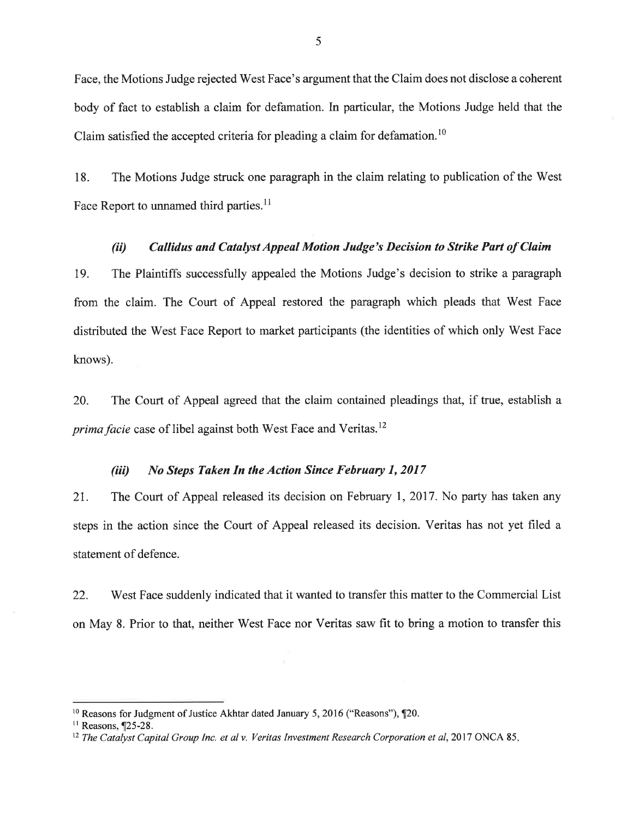Face, the Motions Judge rejected West Face's argument that the Claim does not disclose a coherent body of fact to establish a claim for defamation. In particular, the Motions Judge held that the Claim satisfied the accepted criteria for pleading a claim for defamation.<sup>10</sup>

18. The Motions Judge struck one paragraph in the claim relating to publication of the West Face Report to unnamed third parties.<sup>11</sup>

#### (ii) Callidus and Catalyst Appeal Motion Judge's Decision to Strike Part of Claim

19. The Plaintiffs successfully appealed the Motions Judge's decision to strike a paragraph from the claim. The Court of Appeal restored the paragraph which pleads that West Face distributed the W'est Face Report to market participants (the identities of which only West Face knows).

20. The Court of Appeal agreed that the claim contained pleadings that, if true, establish <sup>a</sup> *prima facie* case of libel against both West Face and Veritas.<sup>12</sup>

#### (iii) No Steps Taken In the Action Since February 1, 2017

21. The Court of Appeal released its decision on February 1,2017. No party has taken any steps in the action since the Court of Appeal released its decision. Veritas has not yet filed <sup>a</sup> statement of defence.

22. West Face suddenly indicated that it wanted to transfer this matter to the Commercial List on May 8. Prior to that, neither West Face nor Veritas saw fit to bring a motion to transfer this

<sup>&</sup>lt;sup>10</sup> Reasons for Judgment of Justice Akhtar dated January 5, 2016 ("Reasons"),  $\P$ 20.

 $11$  Reasons,  $\P$ 25-28.

 $12$  The Catalyst Capital Group Inc. et al y. Veritas Investment Research Corporation et al, 2017 ONCA 85.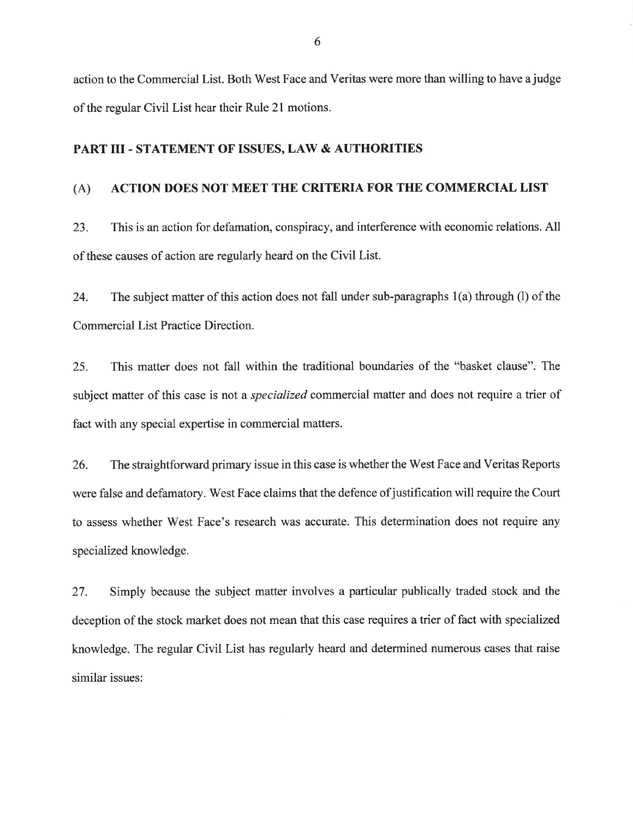action to the Commercial List. Both West Face and Veritas were more than willing to have a judge of the regular Civil List hear their Rule 21 motions.

#### PART III - STATEMENT OF ISSUES, LAW & AUTHORITIES

#### (A) ACTION DOES NOT MEET THE CRITERIA FOR THE COMMERCIAL LIST

23. This is an action for defamation, conspiracy, and interference with economic relations. All of these causes of action are regularly heard on the Civil List.

24. The subject matter of this action does not fall under sub-paragraphs 1(a) through (l) of the Commercial List Practice Direction.

25. This matter does not fall within the traditional boundaries of the "basket clause". The subject matter of this case is not a *specialized* commercial matter and does not require a trier of fact with any special expertise in commercial matters.

26. The straightforward primary issue in this case is whether the West Face and Veritas Reports were false and defamatory. West Face claims that the defence of justification will require the Court to assess whether West Face's research was accurate. This determination does not require any specialized knowledge.

27. Simply because the subject matter involves a particular publically traded stock and the deception of the stock market does not mean that this case requires a trier of fact with specialized knowledge. The regular Civil List has regularly heard and determined numerous cases that raise similar issues: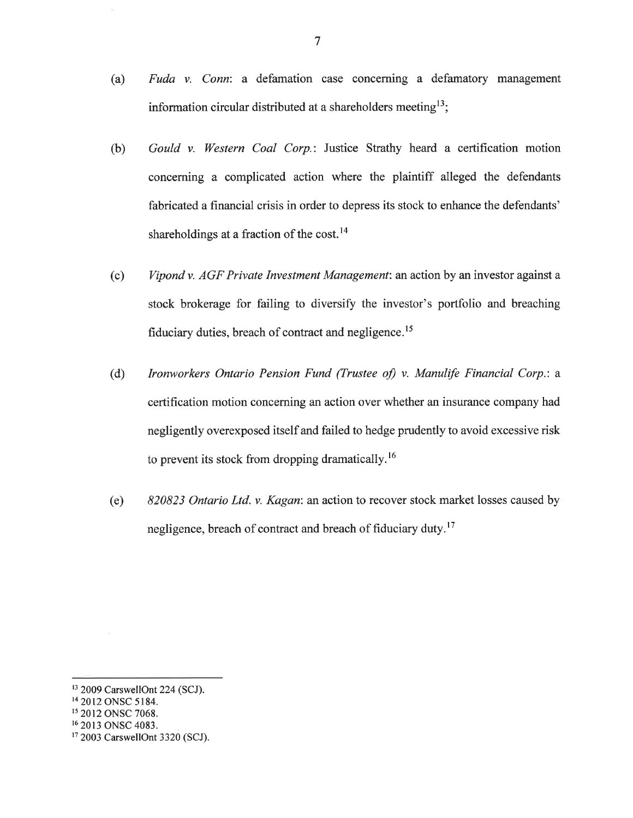- (a) Fuda v. Conn: a defamation case concerning a defamatory management information circular distributed at a shareholders meeting<sup>13</sup>;
- (b) Gould v. Western Coal Corp.: Justice Strathy heard a certification motion conceming a complicated action where the plaintiff alleged the defendants fabricated a financial crisis in order to depress its stock to enhance the defendants' shareholdings at a fraction of the cost.<sup>14</sup>
- (c) Vipond v. AGF Private Investment Management: an action by an investor against <sup>a</sup> stock brokerage for failing to diversify the investor's portfolio and breaching fiduciary duties, breach of contract and negligence.<sup>15</sup>
- (d) Ironworkers Ontario Pension Fund (Trustee of) v. Manulife Financial Corp.: a certification motion concerning an action over whether an insurance company had negligently overexposed itself and failed to hedge prudently to avoid excessive risk to prevent its stock from dropping dramatically.<sup>16</sup>
- (e) 820823 Ontario Ltd. v. Kagan: an action to recover stock market losses caused by negligence, breach of contract and breach of fiduciary duty.<sup>17</sup>

<sup>&</sup>lt;sup>13</sup> 2009 CarswellOnt 224 (SCJ).

<sup>&</sup>lt;sup>14</sup> 2012 ONSC 5184.

<sup>&</sup>lt;sup>15</sup> 2012 ONSC 7068.

<sup>&</sup>lt;sup>16</sup> 2013 ONSC 4083.

<sup>&</sup>lt;sup>17</sup> 2003 CarswellOnt 3320 (SCJ).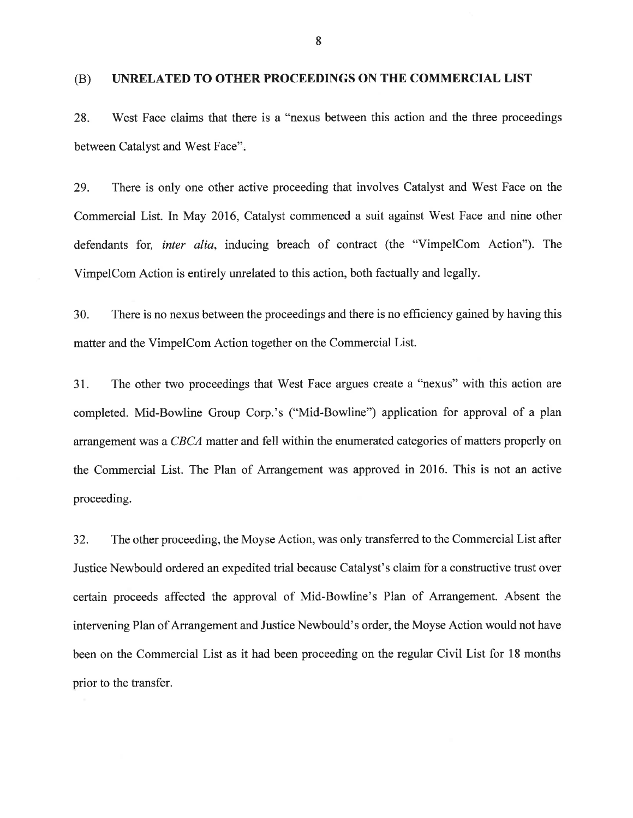#### (B) UNRELATED TO OTHER PROCEEDINGS ON THE COMMERCIAL LIST

28. West Face claims that there is a "nexus between this action and the three proceedings between Catalyst and West Face"

29. There is only one other active proceeding that involves Catalyst and West Face on the Commercial List. In May 2016, Catalyst commenced a suit against West Face and nine other defendants for, inter alia, inducing breach of contract (the "VimpelCom Action"). The VimpelCom Action is entirely unrelated to this action, both factually and legally.

30. There is no nexus between the proceedings and there is no effrciency gained by having this matter and the VimpelCom Action together on the Commercial List.

31. The other two proceedings that West Face argues create a "nexus" with this action are completed. Mid-Bowline Group Corp.'s ("Mid-Bowline") application for approval of a plan arrangement was a CBCA matter and fell within the enumerated categories of matters properly on the Commercial List. The Plan of Arrangement was approved in 2016. This is not an active proceeding.

32. The other proceeding, the Moyse Action, was only transferred to the Commercial List after Justice Newbould ordered an expedited trial because Catalyst's claim for a constructive trust over certain proceeds affected the approval of Mid-Bowline's Plan of Arrangement. Absent the intervening Plan of Arrangement and Justice Newbould's order, the Moyse Action would not have been on the Commercial List as it had been proceeding on the regular Civil List for 18 months prior to the transfer.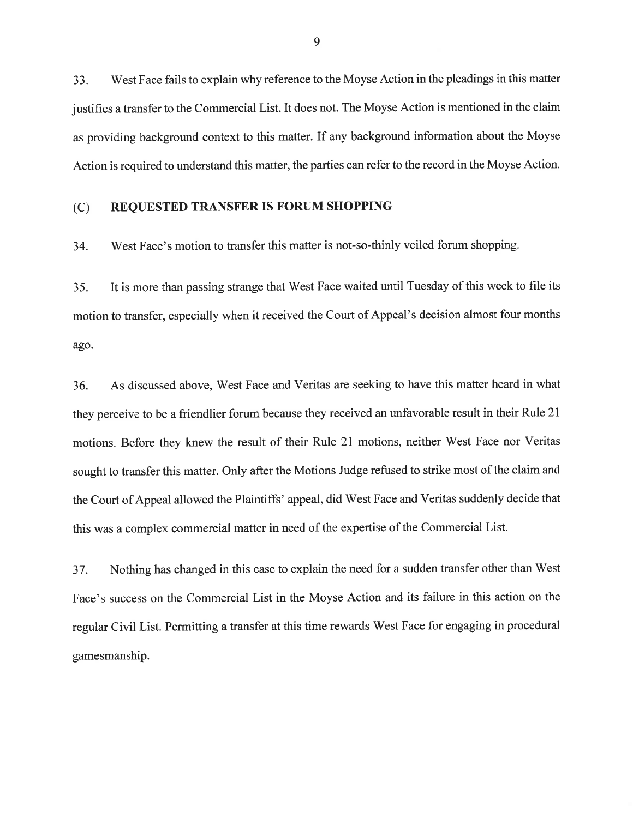33. West Face fails to explain why reference to the Moyse Action in the pleadings in this matter justifies a transfer to the Commercial List. It does not. The Moyse Action is mentioned in the claim as providing background context to this matter. If any background information about the Moyse Action is required to understand this matter, the parties can refer to the record in the Moyse Action.

#### (C) REQUESTED TRANSFER IS FORUM SHOPPING

34. West Face's motion to transfer this matter is not-so-thinly veiled forum shopping.

35. It is more than passing strange that West Face waited until Tuesday of this week to file its motion to transfer, especially when it received the Court of Appeal's decision almost four months ago.

36. As discussed above, West Face and Veritas are seeking to have this matter heard in what they perceive to be a friendlier forum because they received an unfavorable result in their Rule 2l motions. Before they knew the result of their Rule 21 motions, neither West Face nor Veritas sought to transfer this matter. Only after the Motions Judge refused to strike most of the claim and the Court of Appeal allowed the Plaintiffs' appeal, did West Face and Veritas suddenly decide that this was a complex commercial matter in need of the expertise of the Commercial List.

37. Nothing has changed in this case to explain the need for a sudden transfer other than West Face's success on the Commercial List in the Moyse Action and its failure in this action on the regular Civil List. Permitting a transfer at this time rewards West Face for engaging in procedural gamesmanship.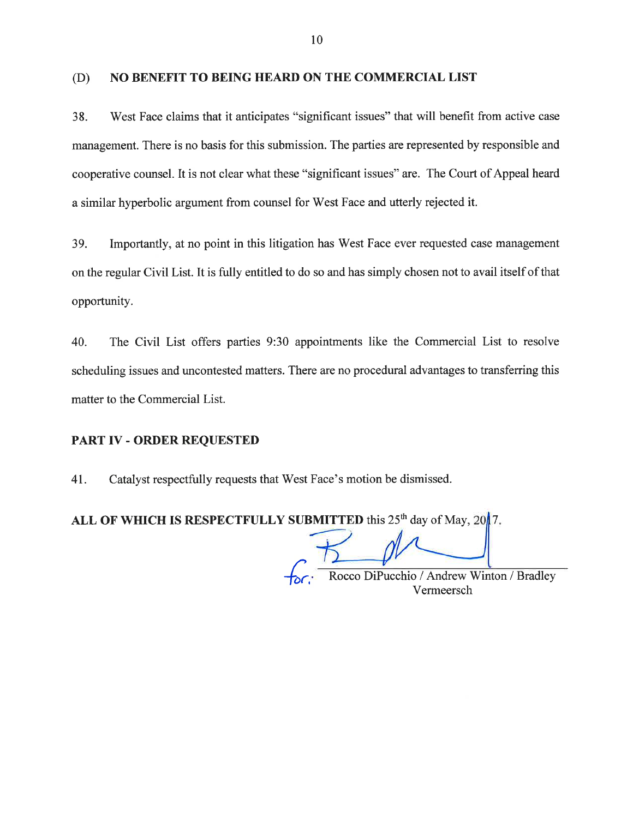#### (D) NO BENEFIT TO BEING HEARD ON THE COMMERCIAL LIST

38. West Face claims that it anticipates "significant issues" that will benefit from active case management. There is no basis for this submission. The parties are represented by responsible and cooperative counsel. It is not clear what these "significant issues" are. The Court of Appeal heard a similar hyperbolic argument from counsel for West Face and utterly rejected it.

39. Importantly, at no point in this litigation has West Face ever requested case management on the regular Civil List. It is fully entitled to do so and has simply chosen not to avail itself of that opportunity.

40. The Civil List offers parties 9:30 appointments like the Commercial List to resolve scheduling issues and uncontested matters. There are no procedural advantages to transferring this matter to the Commercial List.

#### PART IV - ORDER REQUESTED

4I. Catalyst respectfully requests that West Face's motion be dismissed.

ALL OF WHICH IS RESPECTFULLY SUBMITTED this  $25<sup>th</sup>$  day of May,  $20/7$ .

Rocco DiPucchio / Andrew Winton / Bradley Vermeersch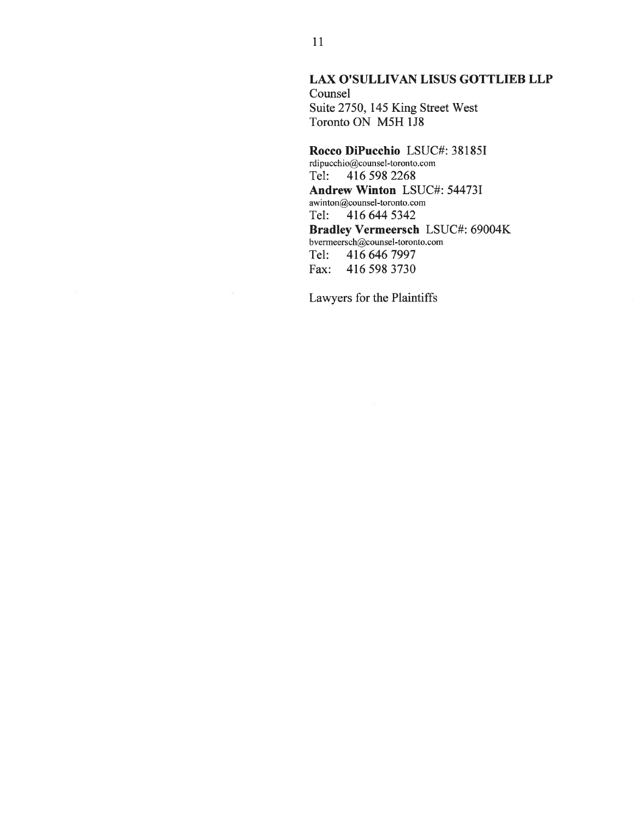#### LAX O'SULLIVAN LISUS GOTTLIEB LLP

Counsel Suite 2750, 145 King Street West Toronto ON M5H 1J8

#### Rocco DiPucchio LSUC#: 38185I rdipucchio@counsel-toronto. com Tel: <sup>4165982268</sup> Andrew Winton LSUC#: 54473I awi nton@counsel-toronto. com Tel: <sup>416644</sup><sup>5342</sup> Bradley Vermeersch LSUC#: 69004K bvermeersch@counsel-toronto. com Tel: 416 646 7997<br>Fax: 416 598 3730 Fax: 416 598 3730

Lawyers for the Plaintiffs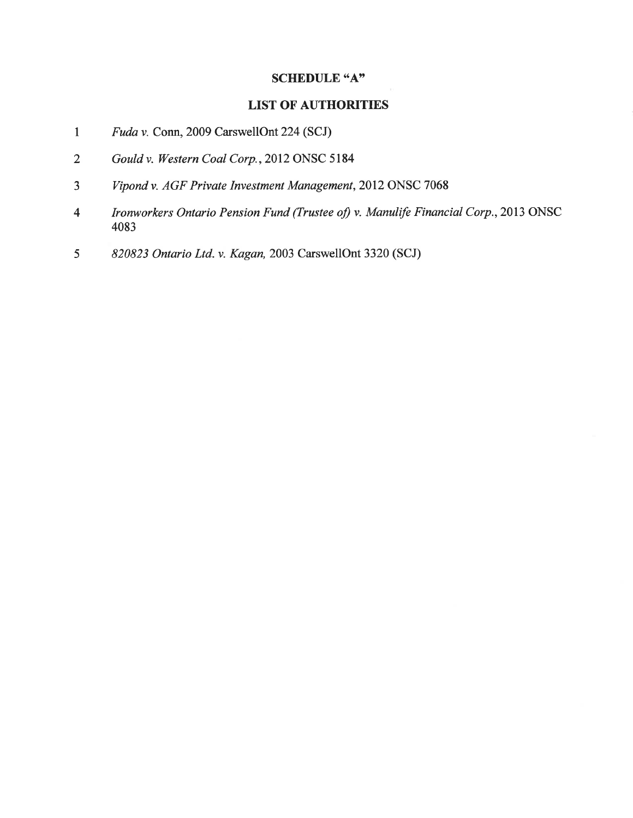#### SCHEDULE "A"

# LIST OF AUTHORITIES

- I Fuda v. Conn, 2009 CarswellOnt 224 (SCJ)
- 2 Gouldv. Western Coal Corp.,2012 ONSC 5184
- a J Vipond v. AGF Private Investment Management, 2012 ONSC 7068
- 4 Ironworkers Ontario Pension Fund (Trustee of) v. Manulife Financial Corp., 2013 ONSC 4083
- 5 820823 Ontario Ltd. v. Kagan,2003 CarswellOnt 3320 (SCJ)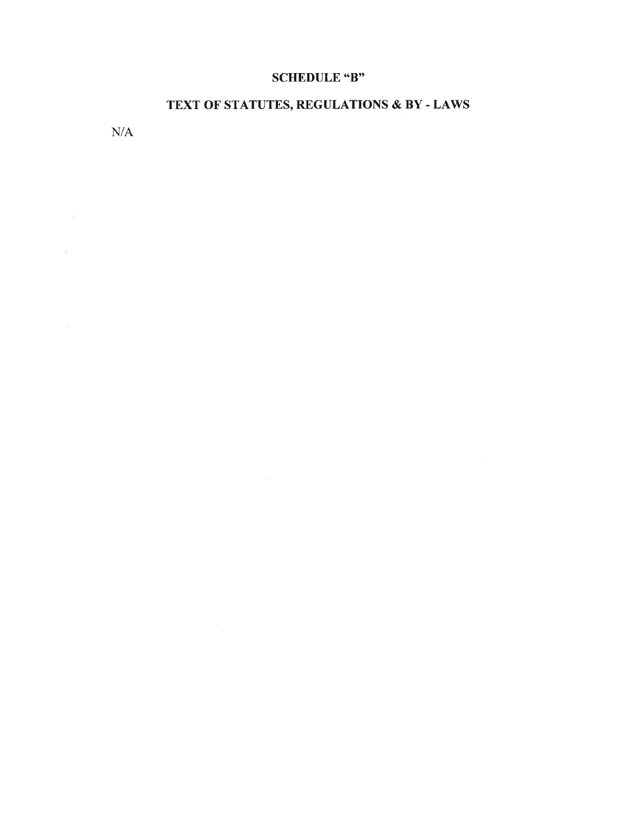# SCHEDULE "B"

# TEXT OF STATUTES, REGULATIONS & BY - LAWS

N/A

 $\bar{\sigma}$